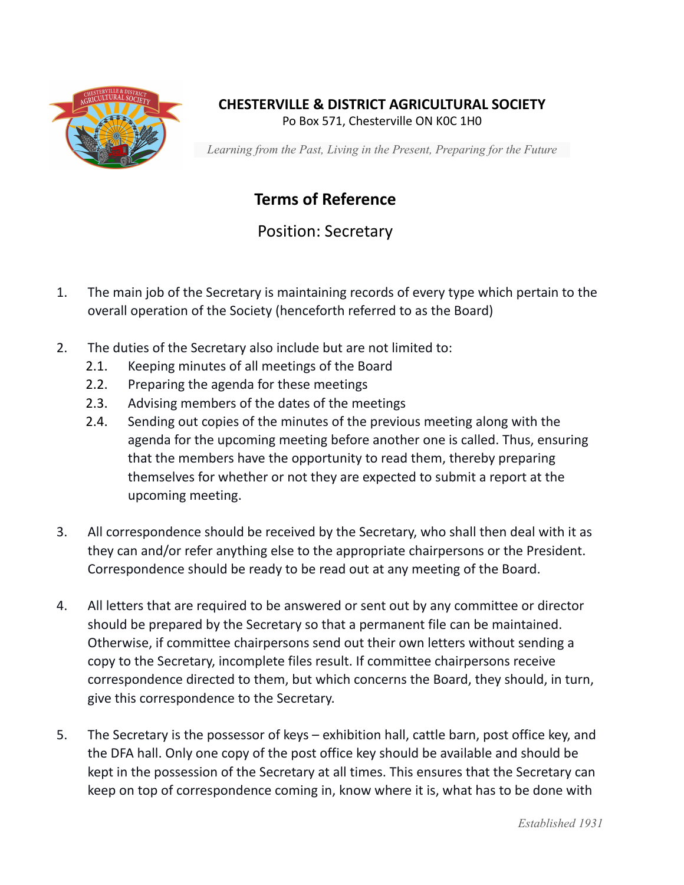

## **CHESTERVILLE & DISTRICT AGRICULTURAL SOCIETY**

Po Box 571, Chesterville ON K0C 1H0

*Learning from the Past, Living in the Present, Preparing for the Future*

## **Terms of Reference**

Position: Secretary

- 1. The main job of the Secretary is maintaining records of every type which pertain to the overall operation of the Society (henceforth referred to as the Board)
- 2. The duties of the Secretary also include but are not limited to:
	- 2.1. Keeping minutes of all meetings of the Board
	- 2.2. Preparing the agenda for these meetings
	- 2.3. Advising members of the dates of the meetings
	- 2.4. Sending out copies of the minutes of the previous meeting along with the agenda for the upcoming meeting before another one is called. Thus, ensuring that the members have the opportunity to read them, thereby preparing themselves for whether or not they are expected to submit a report at the upcoming meeting.
- 3. All correspondence should be received by the Secretary, who shall then deal with it as they can and/or refer anything else to the appropriate chairpersons or the President. Correspondence should be ready to be read out at any meeting of the Board.
- 4. All letters that are required to be answered or sent out by any committee or director should be prepared by the Secretary so that a permanent file can be maintained. Otherwise, if committee chairpersons send out their own letters without sending a copy to the Secretary, incomplete files result. If committee chairpersons receive correspondence directed to them, but which concerns the Board, they should, in turn, give this correspondence to the Secretary.
- 5. The Secretary is the possessor of keys exhibition hall, cattle barn, post office key, and the DFA hall. Only one copy of the post office key should be available and should be kept in the possession of the Secretary at all times. This ensures that the Secretary can keep on top of correspondence coming in, know where it is, what has to be done with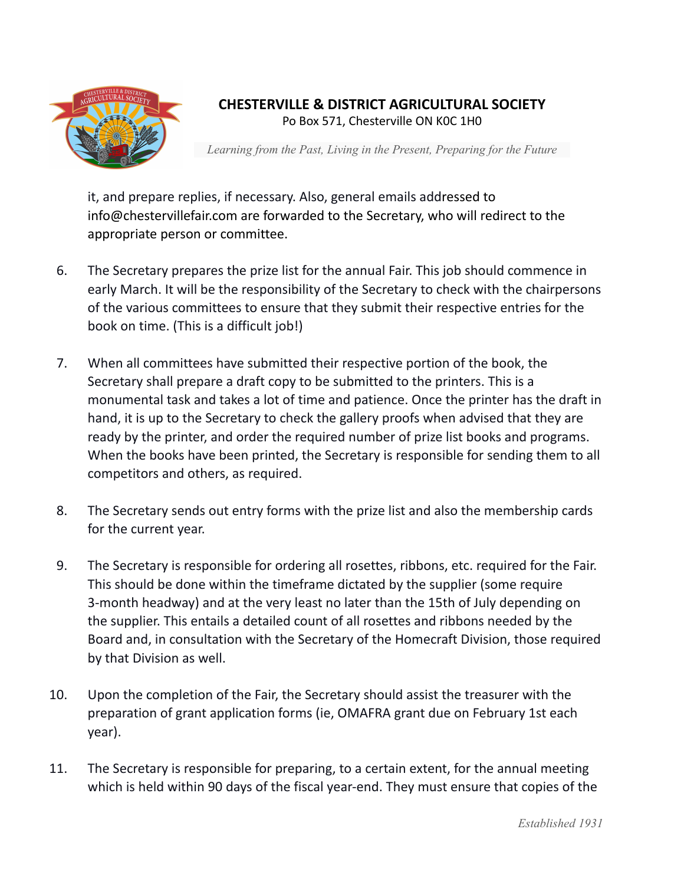

## **CHESTERVILLE & DISTRICT AGRICULTURAL SOCIETY**

Po Box 571, Chesterville ON K0C 1H0

*Learning from the Past, Living in the Present, Preparing for the Future*

it, and prepare replies, if necessary. Also, general emails addressed to info@chestervillefair.com are forwarded to the Secretary, who will redirect to the appropriate person or committee.

- 6. The Secretary prepares the prize list for the annual Fair. This job should commence in early March. It will be the responsibility of the Secretary to check with the chairpersons of the various committees to ensure that they submit their respective entries for the book on time. (This is a difficult job!)
- 7. When all committees have submitted their respective portion of the book, the Secretary shall prepare a draft copy to be submitted to the printers. This is a monumental task and takes a lot of time and patience. Once the printer has the draft in hand, it is up to the Secretary to check the gallery proofs when advised that they are ready by the printer, and order the required number of prize list books and programs. When the books have been printed, the Secretary is responsible for sending them to all competitors and others, as required.
- 8. The Secretary sends out entry forms with the prize list and also the membership cards for the current year.
- 9. The Secretary is responsible for ordering all rosettes, ribbons, etc. required for the Fair. This should be done within the timeframe dictated by the supplier (some require 3-month headway) and at the very least no later than the 15th of July depending on the supplier. This entails a detailed count of all rosettes and ribbons needed by the Board and, in consultation with the Secretary of the Homecraft Division, those required by that Division as well.
- 10. Upon the completion of the Fair, the Secretary should assist the treasurer with the preparation of grant application forms (ie, OMAFRA grant due on February 1st each year).
- 11. The Secretary is responsible for preparing, to a certain extent, for the annual meeting which is held within 90 days of the fiscal year-end. They must ensure that copies of the